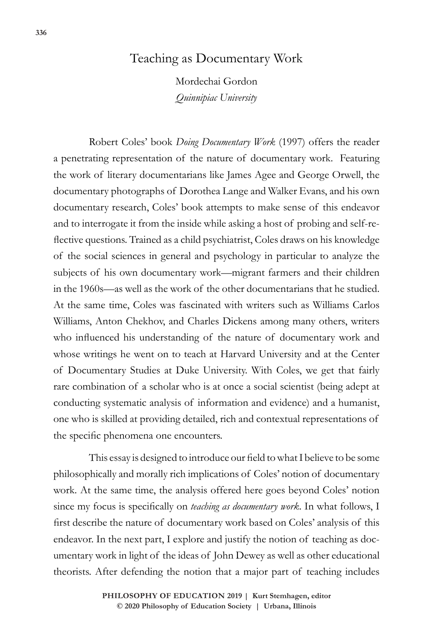# Teaching as Documentary Work

Mordechai Gordon *Quinnipiac University*

Robert Coles' book *Doing Documentary Work* (1997) offers the reader a penetrating representation of the nature of documentary work. Featuring the work of literary documentarians like James Agee and George Orwell, the documentary photographs of Dorothea Lange and Walker Evans, and his own documentary research, Coles' book attempts to make sense of this endeavor and to interrogate it from the inside while asking a host of probing and self-reflective questions. Trained as a child psychiatrist, Coles draws on his knowledge of the social sciences in general and psychology in particular to analyze the subjects of his own documentary work—migrant farmers and their children in the 1960s—as well as the work of the other documentarians that he studied. At the same time, Coles was fascinated with writers such as Williams Carlos Williams, Anton Chekhov, and Charles Dickens among many others, writers who influenced his understanding of the nature of documentary work and whose writings he went on to teach at Harvard University and at the Center of Documentary Studies at Duke University. With Coles, we get that fairly rare combination of a scholar who is at once a social scientist (being adept at conducting systematic analysis of information and evidence) and a humanist, one who is skilled at providing detailed, rich and contextual representations of the specific phenomena one encounters.

This essay is designed to introduce our field to what I believe to be some philosophically and morally rich implications of Coles' notion of documentary work. At the same time, the analysis offered here goes beyond Coles' notion since my focus is specifically on *teaching as documentary work*. In what follows, I first describe the nature of documentary work based on Coles' analysis of this endeavor. In the next part, I explore and justify the notion of teaching as documentary work in light of the ideas of John Dewey as well as other educational theorists. After defending the notion that a major part of teaching includes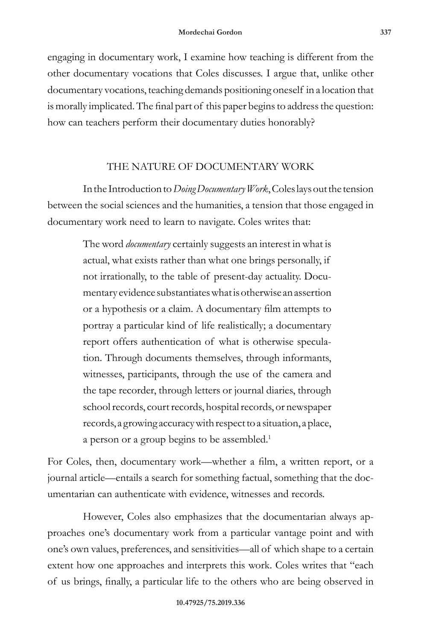engaging in documentary work, I examine how teaching is different from the other documentary vocations that Coles discusses. I argue that, unlike other documentary vocations, teaching demands positioning oneself in a location that is morally implicated. The final part of this paper begins to address the question: how can teachers perform their documentary duties honorably?

## THE NATURE OF DOCUMENTARY WORK

In the Introduction to *Doing Documentary Work*, Coles lays out the tension between the social sciences and the humanities, a tension that those engaged in documentary work need to learn to navigate. Coles writes that:

> The word *documentary* certainly suggests an interest in what is actual, what exists rather than what one brings personally, if not irrationally, to the table of present-day actuality. Documentary evidence substantiates what is otherwise an assertion or a hypothesis or a claim. A documentary film attempts to portray a particular kind of life realistically; a documentary report offers authentication of what is otherwise speculation. Through documents themselves, through informants, witnesses, participants, through the use of the camera and the tape recorder, through letters or journal diaries, through school records, court records, hospital records, or newspaper records, a growing accuracy with respect to a situation, a place, a person or a group begins to be assembled.<sup>1</sup>

For Coles, then, documentary work—whether a film, a written report, or a journal article—entails a search for something factual, something that the documentarian can authenticate with evidence, witnesses and records.

However, Coles also emphasizes that the documentarian always approaches one's documentary work from a particular vantage point and with one's own values, preferences, and sensitivities—all of which shape to a certain extent how one approaches and interprets this work. Coles writes that "each of us brings, finally, a particular life to the others who are being observed in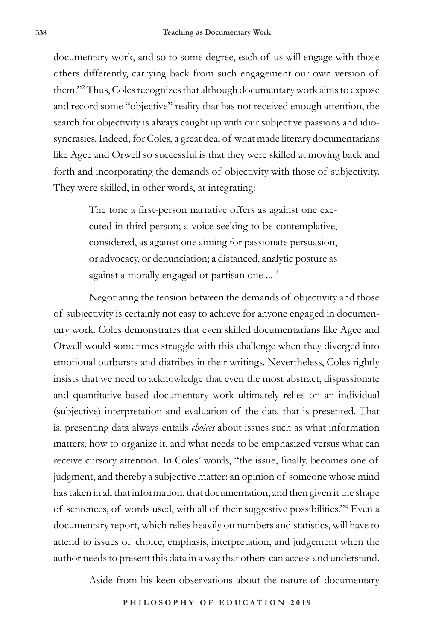documentary work, and so to some degree, each of us will engage with those others differently, carrying back from such engagement our own version of them."2 Thus, Coles recognizes that although documentary work aims to expose and record some "objective" reality that has not received enough attention, the search for objectivity is always caught up with our subjective passions and idiosyncrasies. Indeed, for Coles, a great deal of what made literary documentarians like Agee and Orwell so successful is that they were skilled at moving back and forth and incorporating the demands of objectivity with those of subjectivity. They were skilled, in other words, at integrating:

> The tone a first-person narrative offers as against one executed in third person; a voice seeking to be contemplative, considered, as against one aiming for passionate persuasion, or advocacy, or denunciation; a distanced, analytic posture as against a morally engaged or partisan one ... 3

Negotiating the tension between the demands of objectivity and those of subjectivity is certainly not easy to achieve for anyone engaged in documentary work. Coles demonstrates that even skilled documentarians like Agee and Orwell would sometimes struggle with this challenge when they diverged into emotional outbursts and diatribes in their writings. Nevertheless, Coles rightly insists that we need to acknowledge that even the most abstract, dispassionate and quantitative-based documentary work ultimately relies on an individual (subjective) interpretation and evaluation of the data that is presented. That is, presenting data always entails *choices* about issues such as what information matters, how to organize it, and what needs to be emphasized versus what can receive cursory attention. In Coles' words, "the issue, finally, becomes one of judgment, and thereby a subjective matter: an opinion of someone whose mind has taken in all that information, that documentation, and then given it the shape of sentences, of words used, with all of their suggestive possibilities."4 Even a documentary report, which relies heavily on numbers and statistics, will have to attend to issues of choice, emphasis, interpretation, and judgement when the author needs to present this data in a way that others can access and understand.

Aside from his keen observations about the nature of documentary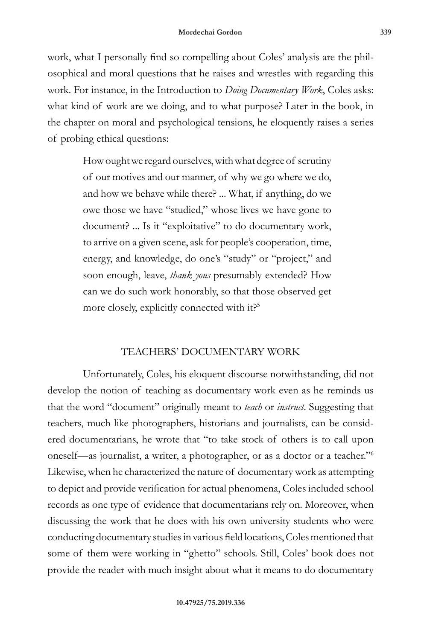work, what I personally find so compelling about Coles' analysis are the philosophical and moral questions that he raises and wrestles with regarding this work. For instance, in the Introduction to *Doing Documentary Work*, Coles asks: what kind of work are we doing, and to what purpose? Later in the book, in the chapter on moral and psychological tensions, he eloquently raises a series of probing ethical questions:

> How ought we regard ourselves, with what degree of scrutiny of our motives and our manner, of why we go where we do, and how we behave while there? ... What, if anything, do we owe those we have "studied," whose lives we have gone to document? ... Is it "exploitative" to do documentary work, to arrive on a given scene, ask for people's cooperation, time, energy, and knowledge, do one's "study" or "project," and soon enough, leave, *thank yous* presumably extended? How can we do such work honorably, so that those observed get more closely, explicitly connected with it?<sup>5</sup>

### TEACHERS' DOCUMENTARY WORK

Unfortunately, Coles, his eloquent discourse notwithstanding, did not develop the notion of teaching as documentary work even as he reminds us that the word "document" originally meant to *teach* or *instruct*. Suggesting that teachers, much like photographers, historians and journalists, can be considered documentarians, he wrote that "to take stock of others is to call upon oneself—as journalist, a writer, a photographer, or as a doctor or a teacher."6 Likewise, when he characterized the nature of documentary work as attempting to depict and provide verification for actual phenomena, Coles included school records as one type of evidence that documentarians rely on. Moreover, when discussing the work that he does with his own university students who were conducting documentary studies in various field locations, Coles mentioned that some of them were working in "ghetto" schools. Still, Coles' book does not provide the reader with much insight about what it means to do documentary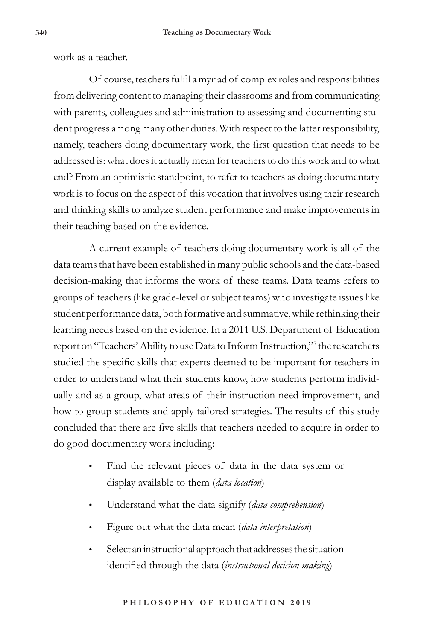work as a teacher.

Of course, teachers fulfil a myriad of complex roles and responsibilities from delivering content to managing their classrooms and from communicating with parents, colleagues and administration to assessing and documenting student progress among many other duties. With respect to the latter responsibility, namely, teachers doing documentary work, the first question that needs to be addressed is: what does it actually mean for teachers to do this work and to what end? From an optimistic standpoint, to refer to teachers as doing documentary work is to focus on the aspect of this vocation that involves using their research and thinking skills to analyze student performance and make improvements in their teaching based on the evidence.

A current example of teachers doing documentary work is all of the data teams that have been established in many public schools and the data-based decision-making that informs the work of these teams. Data teams refers to groups of teachers (like grade-level or subject teams) who investigate issues like student performance data, both formative and summative, while rethinking their learning needs based on the evidence. In a 2011 U.S. Department of Education report on "Teachers' Ability to use Data to Inform Instruction,"<sup>7</sup> the researchers studied the specific skills that experts deemed to be important for teachers in order to understand what their students know, how students perform individually and as a group, what areas of their instruction need improvement, and how to group students and apply tailored strategies. The results of this study concluded that there are five skills that teachers needed to acquire in order to do good documentary work including:

- Find the relevant pieces of data in the data system or display available to them (*data location*)
- Understand what the data signify (*data comprehension*)
- Figure out what the data mean (*data interpretation*)
- Select an instructional approach that addresses the situation identified through the data (*instructional decision making*)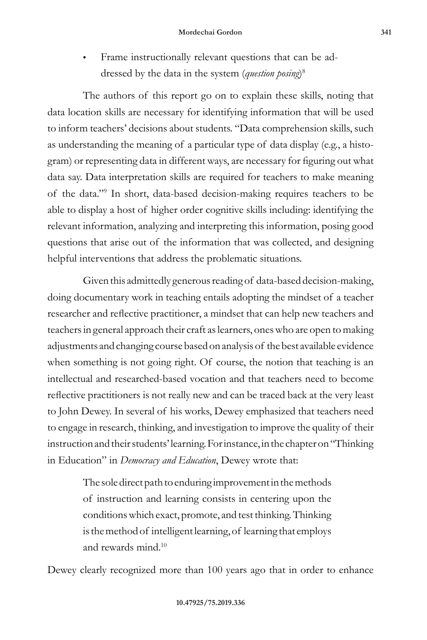Frame instructionally relevant questions that can be addressed by the data in the system (*question posing*) 8

The authors of this report go on to explain these skills, noting that data location skills are necessary for identifying information that will be used to inform teachers' decisions about students. "Data comprehension skills, such as understanding the meaning of a particular type of data display (e.g., a histogram) or representing data in different ways, are necessary for figuring out what data say. Data interpretation skills are required for teachers to make meaning of the data."9 In short, data-based decision-making requires teachers to be able to display a host of higher order cognitive skills including: identifying the relevant information, analyzing and interpreting this information, posing good questions that arise out of the information that was collected, and designing helpful interventions that address the problematic situations.

Given this admittedly generous reading of data-based decision-making, doing documentary work in teaching entails adopting the mindset of a teacher researcher and reflective practitioner, a mindset that can help new teachers and teachers in general approach their craft as learners, ones who are open to making adjustments and changing course based on analysis of the best available evidence when something is not going right. Of course, the notion that teaching is an intellectual and researched-based vocation and that teachers need to become reflective practitioners is not really new and can be traced back at the very least to John Dewey. In several of his works, Dewey emphasized that teachers need to engage in research, thinking, and investigation to improve the quality of their instruction and their students' learning. For instance, in the chapter on "Thinking in Education" in *Democracy and Education*, Dewey wrote that:

> The sole direct path to enduring improvement in the methods of instruction and learning consists in centering upon the conditions which exact, promote, and test thinking. Thinking is the method of intelligent learning, of learning that employs and rewards mind.10

Dewey clearly recognized more than 100 years ago that in order to enhance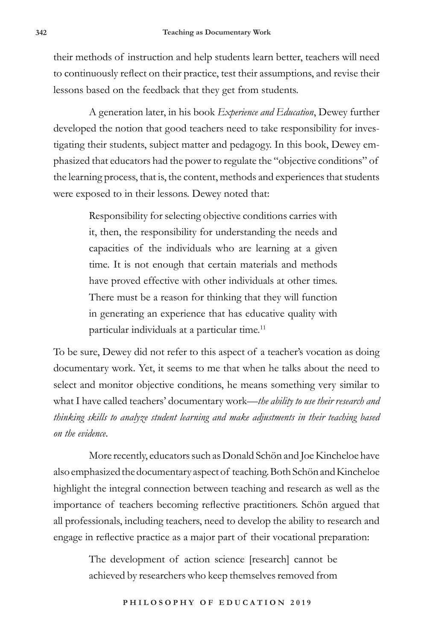their methods of instruction and help students learn better, teachers will need to continuously reflect on their practice, test their assumptions, and revise their lessons based on the feedback that they get from students.

A generation later, in his book *Experience and Education*, Dewey further developed the notion that good teachers need to take responsibility for investigating their students, subject matter and pedagogy. In this book, Dewey emphasized that educators had the power to regulate the "objective conditions" of the learning process, that is, the content, methods and experiences that students were exposed to in their lessons. Dewey noted that:

> Responsibility for selecting objective conditions carries with it, then, the responsibility for understanding the needs and capacities of the individuals who are learning at a given time. It is not enough that certain materials and methods have proved effective with other individuals at other times. There must be a reason for thinking that they will function in generating an experience that has educative quality with particular individuals at a particular time.<sup>11</sup>

To be sure, Dewey did not refer to this aspect of a teacher's vocation as doing documentary work. Yet, it seems to me that when he talks about the need to select and monitor objective conditions, he means something very similar to what I have called teachers' documentary work—*the ability to use their research and thinking skills to analyze student learning and make adjustments in their teaching based on the evidence*.

More recently, educators such as Donald Schön and Joe Kincheloe have also emphasized the documentary aspect of teaching. Both Schön and Kincheloe highlight the integral connection between teaching and research as well as the importance of teachers becoming reflective practitioners. Schön argued that all professionals, including teachers, need to develop the ability to research and engage in reflective practice as a major part of their vocational preparation:

> The development of action science [research] cannot be achieved by researchers who keep themselves removed from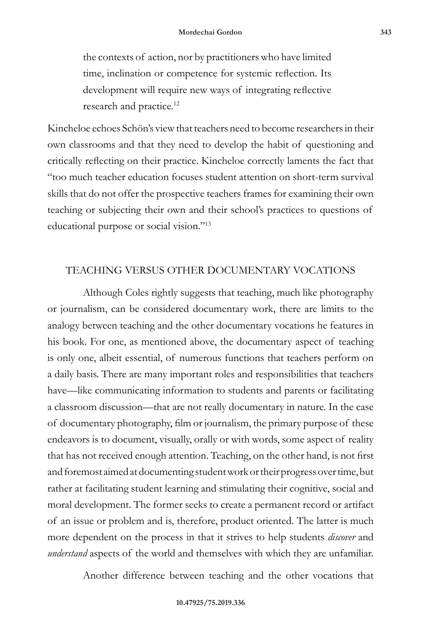the contexts of action, nor by practitioners who have limited time, inclination or competence for systemic reflection. Its development will require new ways of integrating reflective research and practice.<sup>12</sup>

Kincheloe echoes Schön's view that teachers need to become researchers in their own classrooms and that they need to develop the habit of questioning and critically reflecting on their practice. Kincheloe correctly laments the fact that "too much teacher education focuses student attention on short-term survival skills that do not offer the prospective teachers frames for examining their own teaching or subjecting their own and their school's practices to questions of educational purpose or social vision."13

### TEACHING VERSUS OTHER DOCUMENTARY VOCATIONS

Although Coles rightly suggests that teaching, much like photography or journalism, can be considered documentary work, there are limits to the analogy between teaching and the other documentary vocations he features in his book. For one, as mentioned above, the documentary aspect of teaching is only one, albeit essential, of numerous functions that teachers perform on a daily basis. There are many important roles and responsibilities that teachers have—like communicating information to students and parents or facilitating a classroom discussion—that are not really documentary in nature. In the case of documentary photography, film or journalism, the primary purpose of these endeavors is to document, visually, orally or with words, some aspect of reality that has not received enough attention. Teaching, on the other hand, is not first and foremost aimed at documenting student work or their progress over time, but rather at facilitating student learning and stimulating their cognitive, social and moral development. The former seeks to create a permanent record or artifact of an issue or problem and is, therefore, product oriented. The latter is much more dependent on the process in that it strives to help students *discover* and *understand* aspects of the world and themselves with which they are unfamiliar.

Another difference between teaching and the other vocations that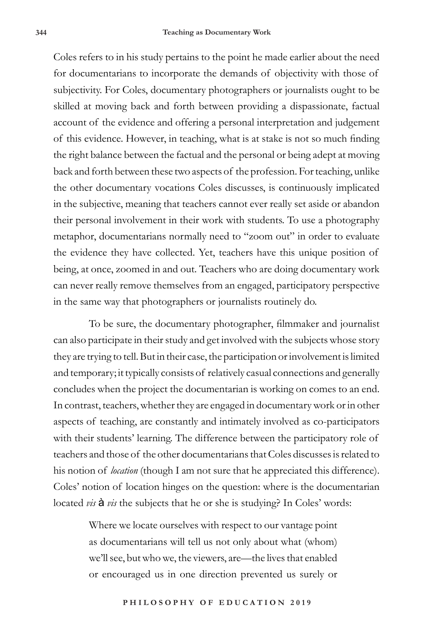Coles refers to in his study pertains to the point he made earlier about the need for documentarians to incorporate the demands of objectivity with those of subjectivity. For Coles, documentary photographers or journalists ought to be skilled at moving back and forth between providing a dispassionate, factual account of the evidence and offering a personal interpretation and judgement of this evidence. However, in teaching, what is at stake is not so much finding the right balance between the factual and the personal or being adept at moving back and forth between these two aspects of the profession. For teaching, unlike the other documentary vocations Coles discusses, is continuously implicated in the subjective, meaning that teachers cannot ever really set aside or abandon their personal involvement in their work with students. To use a photography metaphor, documentarians normally need to "zoom out" in order to evaluate the evidence they have collected. Yet, teachers have this unique position of being, at once, zoomed in and out. Teachers who are doing documentary work can never really remove themselves from an engaged, participatory perspective in the same way that photographers or journalists routinely do.

To be sure, the documentary photographer, filmmaker and journalist can also participate in their study and get involved with the subjects whose story they are trying to tell. But in their case, the participation or involvement is limited and temporary; it typically consists of relatively casual connections and generally concludes when the project the documentarian is working on comes to an end. In contrast, teachers, whether they are engaged in documentary work or in other aspects of teaching, are constantly and intimately involved as co-participators with their students' learning. The difference between the participatory role of teachers and those of the other documentarians that Coles discusses is related to his notion of *location* (though I am not sure that he appreciated this difference). Coles' notion of location hinges on the question: where is the documentarian located *vis* à *vis* the subjects that he or she is studying? In Coles' words:

> Where we locate ourselves with respect to our vantage point as documentarians will tell us not only about what (whom) we'll see, but who we, the viewers, are—the lives that enabled or encouraged us in one direction prevented us surely or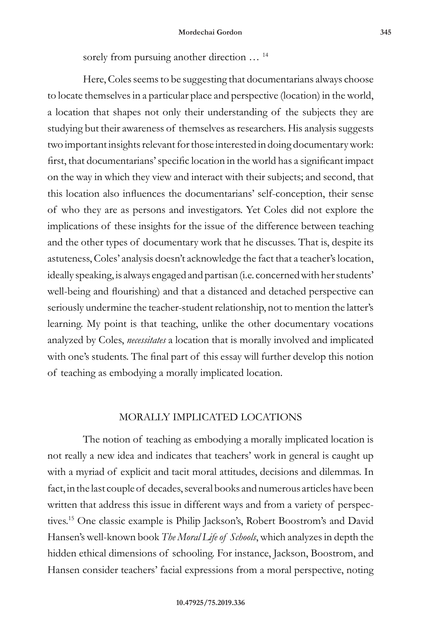sorely from pursuing another direction  $\ldots$ <sup>14</sup>

Here, Coles seems to be suggesting that documentarians always choose to locate themselves in a particular place and perspective (location) in the world, a location that shapes not only their understanding of the subjects they are studying but their awareness of themselves as researchers. His analysis suggests two important insights relevant for those interested in doing documentary work: first, that documentarians' specific location in the world has a significant impact on the way in which they view and interact with their subjects; and second, that this location also influences the documentarians' self-conception, their sense of who they are as persons and investigators. Yet Coles did not explore the implications of these insights for the issue of the difference between teaching and the other types of documentary work that he discusses. That is, despite its astuteness, Coles' analysis doesn't acknowledge the fact that a teacher's location, ideally speaking, is always engaged and partisan (i.e. concerned with her students' well-being and flourishing) and that a distanced and detached perspective can seriously undermine the teacher-student relationship, not to mention the latter's learning. My point is that teaching, unlike the other documentary vocations analyzed by Coles, *necessitates* a location that is morally involved and implicated with one's students. The final part of this essay will further develop this notion of teaching as embodying a morally implicated location.

#### MORALLY IMPLICATED LOCATIONS

The notion of teaching as embodying a morally implicated location is not really a new idea and indicates that teachers' work in general is caught up with a myriad of explicit and tacit moral attitudes, decisions and dilemmas. In fact, in the last couple of decades, several books and numerous articles have been written that address this issue in different ways and from a variety of perspectives.15 One classic example is Philip Jackson's, Robert Boostrom's and David Hansen's well-known book *The Moral Life of Schools*, which analyzes in depth the hidden ethical dimensions of schooling. For instance, Jackson, Boostrom, and Hansen consider teachers' facial expressions from a moral perspective, noting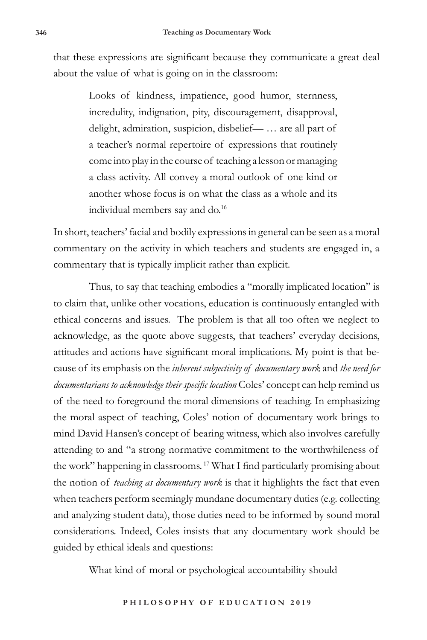that these expressions are significant because they communicate a great deal about the value of what is going on in the classroom:

> Looks of kindness, impatience, good humor, sternness, incredulity, indignation, pity, discouragement, disapproval, delight, admiration, suspicion, disbelief— … are all part of a teacher's normal repertoire of expressions that routinely come into play in the course of teaching a lesson or managing a class activity. All convey a moral outlook of one kind or another whose focus is on what the class as a whole and its individual members say and do.<sup>16</sup>

In short, teachers' facial and bodily expressions in general can be seen as a moral commentary on the activity in which teachers and students are engaged in, a commentary that is typically implicit rather than explicit.

Thus, to say that teaching embodies a "morally implicated location" is to claim that, unlike other vocations, education is continuously entangled with ethical concerns and issues. The problem is that all too often we neglect to acknowledge, as the quote above suggests, that teachers' everyday decisions, attitudes and actions have significant moral implications. My point is that because of its emphasis on the *inherent subjectivity of documentary work* and *the need for documentarians to acknowledge their specific location* Coles' concept can help remind us of the need to foreground the moral dimensions of teaching. In emphasizing the moral aspect of teaching, Coles' notion of documentary work brings to mind David Hansen's concept of bearing witness, which also involves carefully attending to and "a strong normative commitment to the worthwhileness of the work" happening in classrooms.<sup>17</sup> What I find particularly promising about the notion of *teaching as documentary work* is that it highlights the fact that even when teachers perform seemingly mundane documentary duties (e.g. collecting and analyzing student data), those duties need to be informed by sound moral considerations. Indeed, Coles insists that any documentary work should be guided by ethical ideals and questions:

What kind of moral or psychological accountability should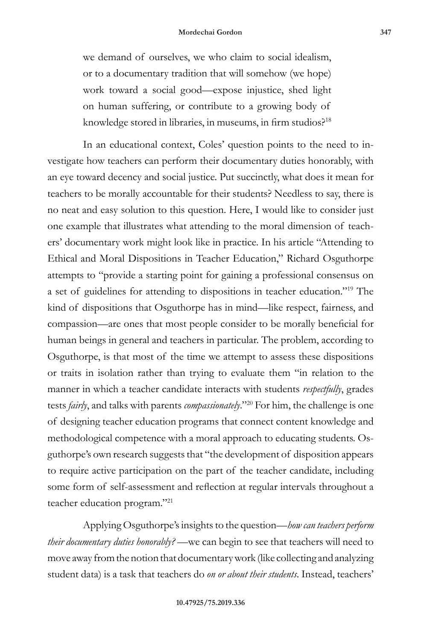we demand of ourselves, we who claim to social idealism, or to a documentary tradition that will somehow (we hope) work toward a social good—expose injustice, shed light on human suffering, or contribute to a growing body of knowledge stored in libraries, in museums, in firm studios?<sup>18</sup>

In an educational context, Coles' question points to the need to investigate how teachers can perform their documentary duties honorably, with an eye toward decency and social justice. Put succinctly, what does it mean for teachers to be morally accountable for their students? Needless to say, there is no neat and easy solution to this question. Here, I would like to consider just one example that illustrates what attending to the moral dimension of teachers' documentary work might look like in practice. In his article "Attending to Ethical and Moral Dispositions in Teacher Education," Richard Osguthorpe attempts to "provide a starting point for gaining a professional consensus on a set of guidelines for attending to dispositions in teacher education."19 The kind of dispositions that Osguthorpe has in mind—like respect, fairness, and compassion—are ones that most people consider to be morally beneficial for human beings in general and teachers in particular. The problem, according to Osguthorpe, is that most of the time we attempt to assess these dispositions or traits in isolation rather than trying to evaluate them "in relation to the manner in which a teacher candidate interacts with students *respectfully*, grades tests *fairly*, and talks with parents *compassionately*."20 For him, the challenge is one of designing teacher education programs that connect content knowledge and methodological competence with a moral approach to educating students. Osguthorpe's own research suggests that "the development of disposition appears to require active participation on the part of the teacher candidate, including some form of self-assessment and reflection at regular intervals throughout a teacher education program."21

Applying Osguthorpe's insights to the question—*how can teachers perform their documentary duties honorably?* —we can begin to see that teachers will need to move away from the notion that documentary work (like collecting and analyzing student data) is a task that teachers do *on or about their students*. Instead, teachers'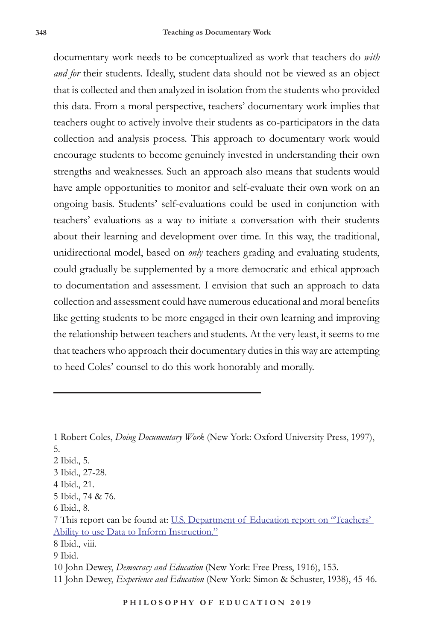documentary work needs to be conceptualized as work that teachers do *with and for* their students. Ideally, student data should not be viewed as an object that is collected and then analyzed in isolation from the students who provided this data. From a moral perspective, teachers' documentary work implies that teachers ought to actively involve their students as co-participators in the data collection and analysis process. This approach to documentary work would encourage students to become genuinely invested in understanding their own strengths and weaknesses. Such an approach also means that students would have ample opportunities to monitor and self-evaluate their own work on an ongoing basis. Students' self-evaluations could be used in conjunction with teachers' evaluations as a way to initiate a conversation with their students about their learning and development over time. In this way, the traditional, unidirectional model, based on *only* teachers grading and evaluating students, could gradually be supplemented by a more democratic and ethical approach to documentation and assessment. I envision that such an approach to data collection and assessment could have numerous educational and moral benefits like getting students to be more engaged in their own learning and improving the relationship between teachers and students. At the very least, it seems to me that teachers who approach their documentary duties in this way are attempting to heed Coles' counsel to do this work honorably and morally.

- 2 Ibid., 5.
- 3 Ibid., 27-28.
- 4 Ibid., 21.
- 5 Ibid., 74 & 76.
- 6 Ibid., 8.

- 8 Ibid., viii.
- 9 Ibid.

10 John Dewey, *Democracy and Education* (New York: Free Press, 1916), 153.

<sup>1</sup> Robert Coles, *Doing Documentary Work* (New York: Oxford University Press, 1997), 5.

<sup>7</sup> This report can be found at: U.S. Department of Education report on "Teachers' Ability to use Data to Inform Instruction."

<sup>11</sup> John Dewey, *Experience and Education* (New York: Simon & Schuster, 1938), 45-46.